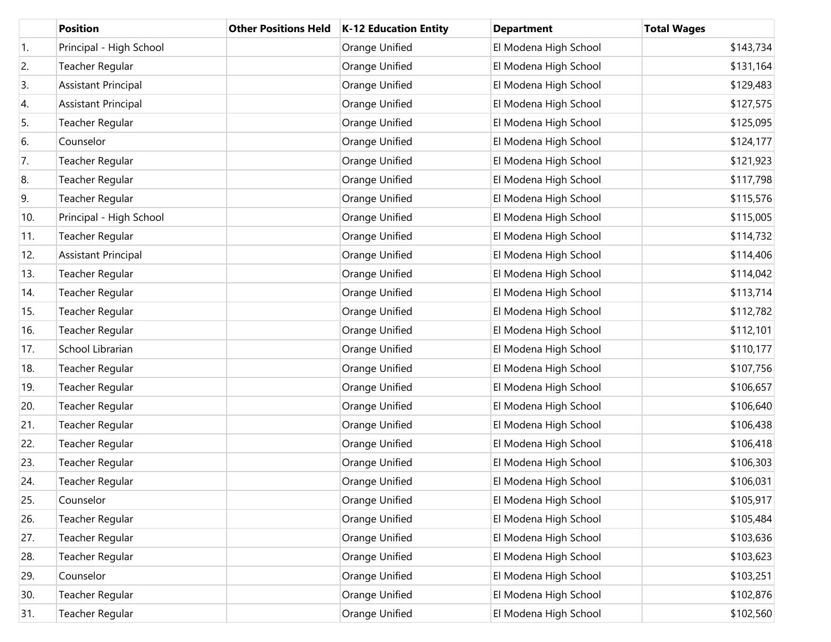|            | <b>Position</b>            | <b>Other Positions Held</b> | K-12 Education Entity | <b>Department</b>     | <b>Total Wages</b> |
|------------|----------------------------|-----------------------------|-----------------------|-----------------------|--------------------|
| $\vert$ 1. | Principal - High School    |                             | Orange Unified        | El Modena High School | \$143,734          |
| 2.         | Teacher Regular            |                             | Orange Unified        | El Modena High School | \$131,164          |
| 3.         | <b>Assistant Principal</b> |                             | Orange Unified        | El Modena High School | \$129,483          |
| 4.         | <b>Assistant Principal</b> |                             | Orange Unified        | El Modena High School | \$127,575          |
| 5.         | Teacher Regular            |                             | Orange Unified        | El Modena High School | \$125,095          |
| 6.         | Counselor                  |                             | Orange Unified        | El Modena High School | \$124,177          |
| 7.         | Teacher Regular            |                             | Orange Unified        | El Modena High School | \$121,923          |
| 8.         | Teacher Regular            |                             | Orange Unified        | El Modena High School | \$117,798          |
| 9.         | Teacher Regular            |                             | Orange Unified        | El Modena High School | \$115,576          |
| 10.        | Principal - High School    |                             | Orange Unified        | El Modena High School | \$115,005          |
| 11.        | Teacher Regular            |                             | Orange Unified        | El Modena High School | \$114,732          |
| 12.        | <b>Assistant Principal</b> |                             | Orange Unified        | El Modena High School | \$114,406          |
| 13.        | Teacher Regular            |                             | Orange Unified        | El Modena High School | \$114,042          |
| 14.        | Teacher Regular            |                             | Orange Unified        | El Modena High School | \$113,714          |
| 15.        | Teacher Regular            |                             | Orange Unified        | El Modena High School | \$112,782          |
| 16.        | Teacher Regular            |                             | Orange Unified        | El Modena High School | \$112,101          |
| 17.        | School Librarian           |                             | Orange Unified        | El Modena High School | \$110,177          |
| 18.        | Teacher Regular            |                             | Orange Unified        | El Modena High School | \$107,756          |
| 19.        | Teacher Regular            |                             | Orange Unified        | El Modena High School | \$106,657          |
| 20.        | Teacher Regular            |                             | Orange Unified        | El Modena High School | \$106,640          |
| 21.        | Teacher Regular            |                             | Orange Unified        | El Modena High School | \$106,438          |
| 22.        | Teacher Regular            |                             | Orange Unified        | El Modena High School | \$106,418          |
| 23.        | Teacher Regular            |                             | Orange Unified        | El Modena High School | \$106,303          |
| 24.        | Teacher Regular            |                             | Orange Unified        | El Modena High School | \$106,031          |
| 25.        | Counselor                  |                             | Orange Unified        | El Modena High School | \$105,917          |
| 26.        | Teacher Regular            |                             | Orange Unified        | El Modena High School | \$105,484          |
| 27.        | Teacher Regular            |                             | Orange Unified        | El Modena High School | \$103,636          |
| 28.        | Teacher Regular            |                             | Orange Unified        | El Modena High School | \$103,623          |
| 29.        | Counselor                  |                             | Orange Unified        | El Modena High School | \$103,251          |
| 30.        | Teacher Regular            |                             | Orange Unified        | El Modena High School | \$102,876          |
| 31.        | Teacher Regular            |                             | Orange Unified        | El Modena High School | \$102,560          |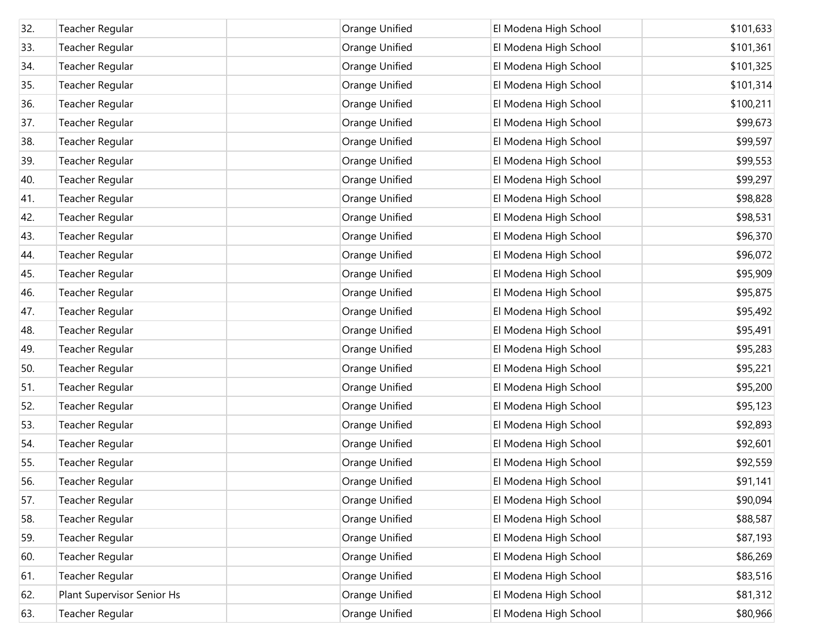| 32. | Teacher Regular            | Orange Unified | El Modena High School | \$101,633 |
|-----|----------------------------|----------------|-----------------------|-----------|
| 33. | Teacher Regular            | Orange Unified | El Modena High School | \$101,361 |
| 34. | Teacher Regular            | Orange Unified | El Modena High School | \$101,325 |
| 35. | Teacher Regular            | Orange Unified | El Modena High School | \$101,314 |
| 36. | Teacher Regular            | Orange Unified | El Modena High School | \$100,211 |
| 37. | Teacher Regular            | Orange Unified | El Modena High School | \$99,673  |
| 38. | Teacher Regular            | Orange Unified | El Modena High School | \$99,597  |
| 39. | Teacher Regular            | Orange Unified | El Modena High School | \$99,553  |
| 40. | Teacher Regular            | Orange Unified | El Modena High School | \$99,297  |
| 41. | Teacher Regular            | Orange Unified | El Modena High School | \$98,828  |
| 42. | Teacher Regular            | Orange Unified | El Modena High School | \$98,531  |
| 43. | Teacher Regular            | Orange Unified | El Modena High School | \$96,370  |
| 44. | Teacher Regular            | Orange Unified | El Modena High School | \$96,072  |
| 45. | Teacher Regular            | Orange Unified | El Modena High School | \$95,909  |
| 46. | Teacher Regular            | Orange Unified | El Modena High School | \$95,875  |
| 47. | Teacher Regular            | Orange Unified | El Modena High School | \$95,492  |
| 48. | Teacher Regular            | Orange Unified | El Modena High School | \$95,491  |
| 49. | Teacher Regular            | Orange Unified | El Modena High School | \$95,283  |
| 50. | Teacher Regular            | Orange Unified | El Modena High School | \$95,221  |
| 51. | Teacher Regular            | Orange Unified | El Modena High School | \$95,200  |
| 52. | Teacher Regular            | Orange Unified | El Modena High School | \$95,123  |
| 53. | Teacher Regular            | Orange Unified | El Modena High School | \$92,893  |
| 54. | Teacher Regular            | Orange Unified | El Modena High School | \$92,601  |
| 55. | Teacher Regular            | Orange Unified | El Modena High School | \$92,559  |
| 56. | Teacher Regular            | Orange Unified | El Modena High School | \$91,141  |
| 57. | Teacher Regular            | Orange Unified | El Modena High School | \$90,094  |
| 58. | Teacher Regular            | Orange Unified | El Modena High School | \$88,587  |
| 59. | Teacher Regular            | Orange Unified | El Modena High School | \$87,193  |
| 60. | Teacher Regular            | Orange Unified | El Modena High School | \$86,269  |
| 61. | Teacher Regular            | Orange Unified | El Modena High School | \$83,516  |
| 62. | Plant Supervisor Senior Hs | Orange Unified | El Modena High School | \$81,312  |
| 63. | Teacher Regular            | Orange Unified | El Modena High School | \$80,966  |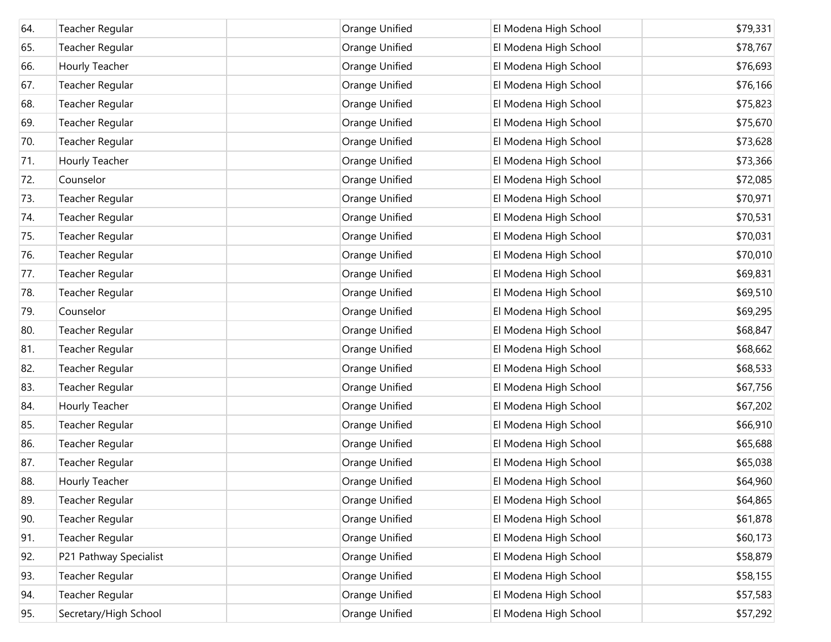| 64. | Teacher Regular        | Orange Unified | El Modena High School | \$79,331 |
|-----|------------------------|----------------|-----------------------|----------|
| 65. | Teacher Regular        | Orange Unified | El Modena High School | \$78,767 |
| 66. | Hourly Teacher         | Orange Unified | El Modena High School | \$76,693 |
| 67. | Teacher Regular        | Orange Unified | El Modena High School | \$76,166 |
| 68. | Teacher Regular        | Orange Unified | El Modena High School | \$75,823 |
| 69. | Teacher Regular        | Orange Unified | El Modena High School | \$75,670 |
| 70. | Teacher Regular        | Orange Unified | El Modena High School | \$73,628 |
| 71. | Hourly Teacher         | Orange Unified | El Modena High School | \$73,366 |
| 72. | Counselor              | Orange Unified | El Modena High School | \$72,085 |
| 73. | Teacher Regular        | Orange Unified | El Modena High School | \$70,971 |
| 74. | Teacher Regular        | Orange Unified | El Modena High School | \$70,531 |
| 75. | Teacher Regular        | Orange Unified | El Modena High School | \$70,031 |
| 76. | Teacher Regular        | Orange Unified | El Modena High School | \$70,010 |
| 77. | Teacher Regular        | Orange Unified | El Modena High School | \$69,831 |
| 78. | Teacher Regular        | Orange Unified | El Modena High School | \$69,510 |
| 79. | Counselor              | Orange Unified | El Modena High School | \$69,295 |
| 80. | Teacher Regular        | Orange Unified | El Modena High School | \$68,847 |
| 81. | Teacher Regular        | Orange Unified | El Modena High School | \$68,662 |
| 82. | Teacher Regular        | Orange Unified | El Modena High School | \$68,533 |
| 83. | Teacher Regular        | Orange Unified | El Modena High School | \$67,756 |
| 84. | Hourly Teacher         | Orange Unified | El Modena High School | \$67,202 |
| 85. | Teacher Regular        | Orange Unified | El Modena High School | \$66,910 |
| 86. | Teacher Regular        | Orange Unified | El Modena High School | \$65,688 |
| 87. | Teacher Regular        | Orange Unified | El Modena High School | \$65,038 |
| 88. | Hourly Teacher         | Orange Unified | El Modena High School | \$64,960 |
| 89. | Teacher Regular        | Orange Unified | El Modena High School | \$64,865 |
| 90. | Teacher Regular        | Orange Unified | El Modena High School | \$61,878 |
| 91. | Teacher Regular        | Orange Unified | El Modena High School | \$60,173 |
| 92. | P21 Pathway Specialist | Orange Unified | El Modena High School | \$58,879 |
| 93. | Teacher Regular        | Orange Unified | El Modena High School | \$58,155 |
| 94. | Teacher Regular        | Orange Unified | El Modena High School | \$57,583 |
| 95. | Secretary/High School  | Orange Unified | El Modena High School | \$57,292 |